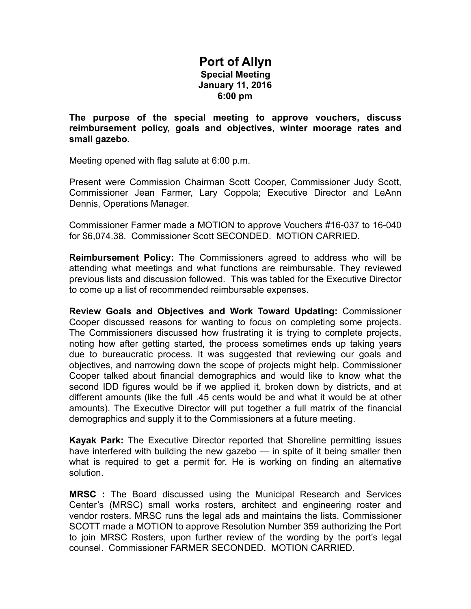## **Port of Allyn Special Meeting January 11, 2016 6:00 pm**

**The purpose of the special meeting to approve vouchers, discuss reimbursement policy, goals and objectives, winter moorage rates and small gazebo.** 

Meeting opened with flag salute at 6:00 p.m.

Present were Commission Chairman Scott Cooper, Commissioner Judy Scott, Commissioner Jean Farmer, Lary Coppola; Executive Director and LeAnn Dennis, Operations Manager.

Commissioner Farmer made a MOTION to approve Vouchers #16-037 to 16-040 for \$6,074.38. Commissioner Scott SECONDED. MOTION CARRIED.

**Reimbursement Policy:** The Commissioners agreed to address who will be attending what meetings and what functions are reimbursable. They reviewed previous lists and discussion followed. This was tabled for the Executive Director to come up a list of recommended reimbursable expenses.

**Review Goals and Objectives and Work Toward Updating:** Commissioner Cooper discussed reasons for wanting to focus on completing some projects. The Commissioners discussed how frustrating it is trying to complete projects, noting how after getting started, the process sometimes ends up taking years due to bureaucratic process. It was suggested that reviewing our goals and objectives, and narrowing down the scope of projects might help. Commissioner Cooper talked about financial demographics and would like to know what the second IDD figures would be if we applied it, broken down by districts, and at different amounts (like the full .45 cents would be and what it would be at other amounts). The Executive Director will put together a full matrix of the financial demographics and supply it to the Commissioners at a future meeting.

**Kayak Park:** The Executive Director reported that Shoreline permitting issues have interfered with building the new gazebo — in spite of it being smaller then what is required to get a permit for. He is working on finding an alternative solution.

**MRSC :** The Board discussed using the Municipal Research and Services Center's (MRSC) small works rosters, architect and engineering roster and vendor rosters. MRSC runs the legal ads and maintains the lists. Commissioner SCOTT made a MOTION to approve Resolution Number 359 authorizing the Port to join MRSC Rosters, upon further review of the wording by the port's legal counsel. Commissioner FARMER SECONDED. MOTION CARRIED.